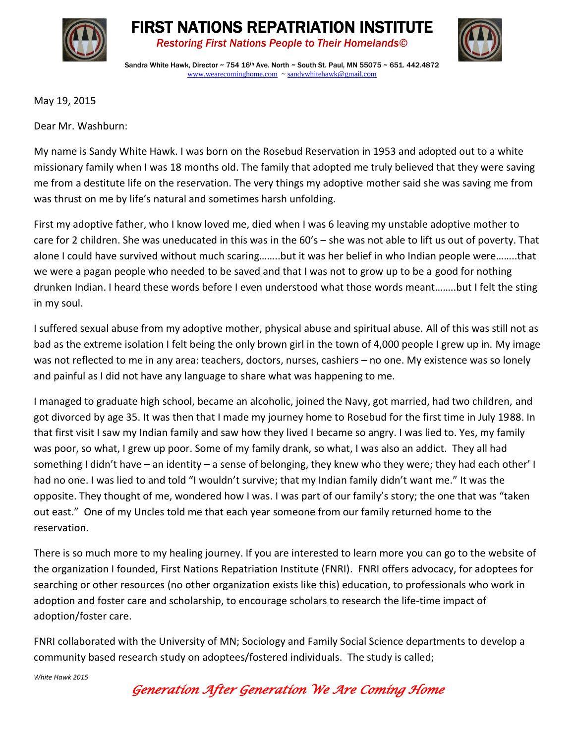





Sandra White Hawk, Director  $\sim$  754 16<sup>th</sup> Ave. North  $\sim$  South St. Paul, MN 55075  $\sim$  651, 442.4872 [www.wearecominghome.com](http://www.wearecominghome.com/) [~ sandywhitehawk@gmail.com](mailto:sandywhitehawk@gmail.com)

May 19, 2015

Dear Mr. Washburn:

My name is Sandy White Hawk. I was born on the Rosebud Reservation in 1953 and adopted out to a white missionary family when I was 18 months old. The family that adopted me truly believed that they were saving me from a destitute life on the reservation. The very things my adoptive mother said she was saving me from was thrust on me by life's natural and sometimes harsh unfolding.

First my adoptive father, who I know loved me, died when I was 6 leaving my unstable adoptive mother to care for 2 children. She was uneducated in this was in the 60's – she was not able to lift us out of poverty. That alone I could have survived without much scaring……..but it was her belief in who Indian people were……..that we were a pagan people who needed to be saved and that I was not to grow up to be a good for nothing drunken Indian. I heard these words before I even understood what those words meant……..but I felt the sting in my soul.

I suffered sexual abuse from my adoptive mother, physical abuse and spiritual abuse. All of this was still not as bad as the extreme isolation I felt being the only brown girl in the town of 4,000 people I grew up in. My image was not reflected to me in any area: teachers, doctors, nurses, cashiers – no one. My existence was so lonely and painful as I did not have any language to share what was happening to me.

I managed to graduate high school, became an alcoholic, joined the Navy, got married, had two children, and got divorced by age 35. It was then that I made my journey home to Rosebud for the first time in July 1988. In that first visit I saw my Indian family and saw how they lived I became so angry. I was lied to. Yes, my family was poor, so what, I grew up poor. Some of my family drank, so what, I was also an addict. They all had something I didn't have – an identity – a sense of belonging, they knew who they were; they had each other' I had no one. I was lied to and told "I wouldn't survive; that my Indian family didn't want me." It was the opposite. They thought of me, wondered how I was. I was part of our family's story; the one that was "taken out east." One of my Uncles told me that each year someone from our family returned home to the reservation.

There is so much more to my healing journey. If you are interested to learn more you can go to the website of the organization I founded, First Nations Repatriation Institute (FNRI). FNRI offers advocacy, for adoptees for searching or other resources (no other organization exists like this) education, to professionals who work in adoption and foster care and scholarship, to encourage scholars to research the life-time impact of adoption/foster care.

FNRI collaborated with the University of MN; Sociology and Family Social Science departments to develop a community based research study on adoptees/fostered individuals. The study is called;

*White Hawk 2015*

*Generation After Generation We Are Coming Home*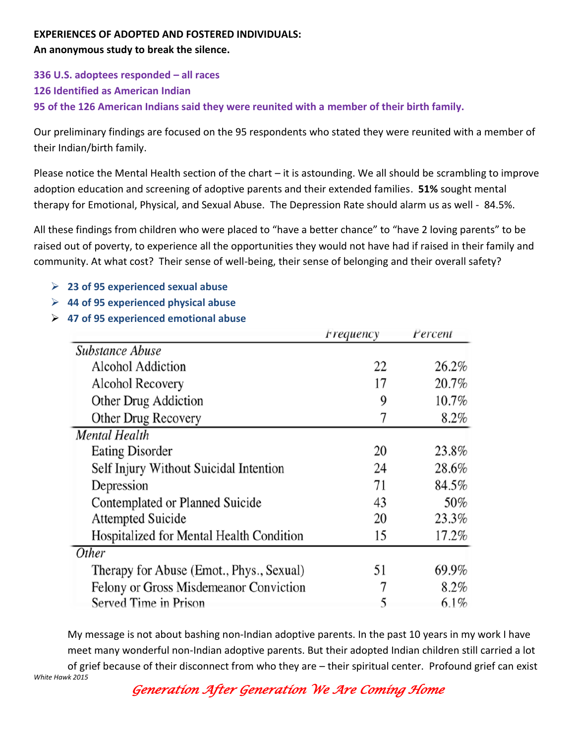## **EXPERIENCES OF ADOPTED AND FOSTERED INDIVIDUALS:**

**An anonymous study to break the silence.** 

**336 U.S. adoptees responded – all races 126 Identified as American Indian 95 of the 126 American Indians said they were reunited with a member of their birth family.**

Our preliminary findings are focused on the 95 respondents who stated they were reunited with a member of their Indian/birth family.

Please notice the Mental Health section of the chart – it is astounding. We all should be scrambling to improve adoption education and screening of adoptive parents and their extended families. **51%** sought mental therapy for Emotional, Physical, and Sexual Abuse. The Depression Rate should alarm us as well - 84.5%.

All these findings from children who were placed to "have a better chance" to "have 2 loving parents" to be raised out of poverty, to experience all the opportunities they would not have had if raised in their family and community. At what cost? Their sense of well-being, their sense of belonging and their overall safety?

- **23 of 95 experienced sexual abuse**
- **44 of 95 experienced physical abuse**
- **47 of 95 experienced emotional abuse**

|                                          | <i>Frequency</i> | Percent |
|------------------------------------------|------------------|---------|
| <b>Substance Abuse</b>                   |                  |         |
| <b>Alcohol Addiction</b>                 | 22               | 26.2%   |
| <b>Alcohol Recovery</b>                  | 17               | 20.7%   |
| Other Drug Addiction                     | 9                | 10.7%   |
| Other Drug Recovery                      | 7                | 8.2%    |
| <b>Mental Health</b>                     |                  |         |
| <b>Eating Disorder</b>                   | 20               | 23.8%   |
| Self Injury Without Suicidal Intention   | 24               | 28.6%   |
| Depression                               | 71               | 84.5%   |
| Contemplated or Planned Suicide          | 43               | 50%     |
| <b>Attempted Suicide</b>                 | 20               | 23.3%   |
| Hospitalized for Mental Health Condition | 15               | 17.2%   |
| Other                                    |                  |         |
| Therapy for Abuse (Emot., Phys., Sexual) | 51               | 69.9%   |
| Felony or Gross Misdemeanor Conviction   | 7                | 8.2%    |
| Served Time in Prison                    | 5                | $6.1\%$ |

*White Hawk 2015* My message is not about bashing non-Indian adoptive parents. In the past 10 years in my work I have meet many wonderful non-Indian adoptive parents. But their adopted Indian children still carried a lot of grief because of their disconnect from who they are – their spiritual center. Profound grief can exist

*Generation After Generation We Are Coming Home*